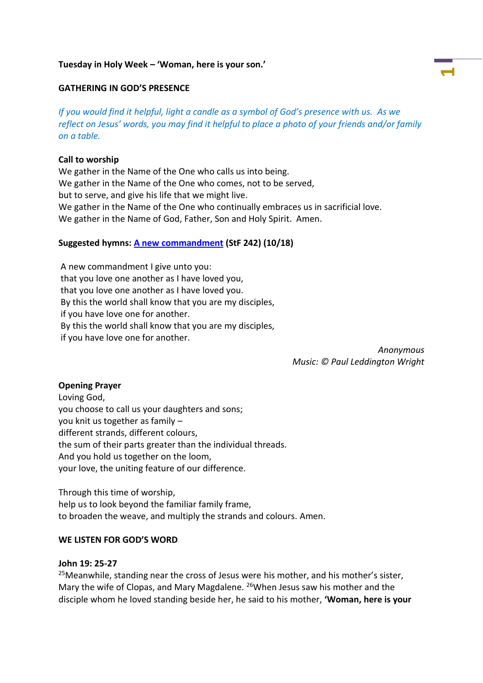## **Tuesday in Holy Week – 'Woman, here is your son.'**

## **GATHERING IN GOD'S PRESENCE**

*If you would find it helpful, light a candle as a symbol of God's presence with us. As we reflect on Jesus' words, you may find it helpful to place a photo of your friends and/or family on a table.*

#### **Call to worship**

We gather in the Name of the One who calls us into being. We gather in the Name of the One who comes, not to be served, but to serve, and give his life that we might live. We gather in the Name of the One who continually embraces us in sacrificial love. We gather in the Name of God, Father, Son and Holy Spirit. Amen.

#### **Suggested hymns: [A new commandment](https://www.methodist.org.uk/our-faith/worship/singing-the-faith-plus/hymns/a-new-commandment-i-give-unto-you-stf-242/) (StF 242) (10/18)**

A new commandment I give unto you: that you love one another as I have loved you, that you love one another as I have loved you. By this the world shall know that you are my disciples, if you have love one for another. By this the world shall know that you are my disciples, if you have love one for another.

> *Anonymous Music: © Paul Leddington Wright*

**1**

## **Opening Prayer**

Loving God, you choose to call us your daughters and sons; you knit us together as family – different strands, different colours, the sum of their parts greater than the individual threads. And you hold us together on the loom, your love, the uniting feature of our difference.

Through this time of worship, help us to look beyond the familiar family frame, to broaden the weave, and multiply the strands and colours. Amen.

## **WE LISTEN FOR GOD'S WORD**

#### **John 19: 25-27**

<sup>25</sup>Meanwhile, standing near the cross of Jesus were his mother, and his mother's sister, Mary the wife of Clopas, and Mary Magdalene. <sup>26</sup>When Jesus saw his mother and the disciple whom he loved standing beside her, he said to his mother, **'Woman, here is your**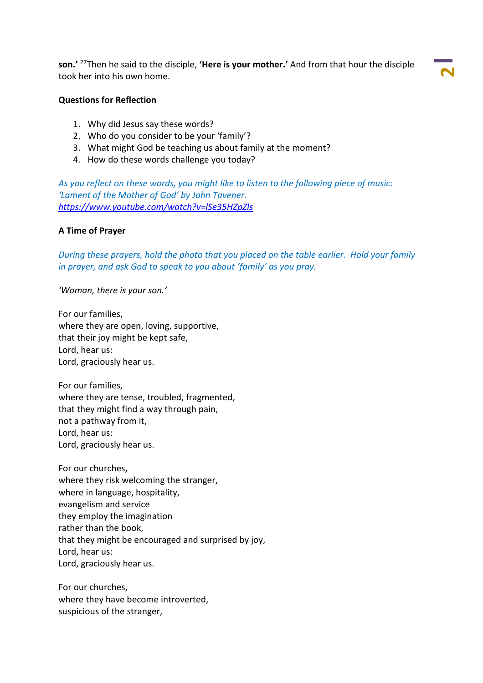**son.'** <sup>27</sup>Then he said to the disciple, **'Here is your mother.'** And from that hour the disciple took her into his own home.

# **Questions for Reflection**

- 1. Why did Jesus say these words?
- 2. Who do you consider to be your 'family'?
- 3. What might God be teaching us about family at the moment?
- 4. How do these words challenge you today?

*As you reflect on these words, you might like to listen to the following piece of music: 'Lament of the Mother of God' by John Tavener. <https://www.youtube.com/watch?v=lSe35HZpZls>*

# **A Time of Prayer**

*During these prayers, hold the photo that you placed on the table earlier. Hold your family in prayer, and ask God to speak to you about 'family' as you pray.*

*'Woman, there is your son.'*

For our families, where they are open, loving, supportive, that their joy might be kept safe, Lord, hear us: Lord, graciously hear us.

For our families, where they are tense, troubled, fragmented, that they might find a way through pain, not a pathway from it, Lord, hear us: Lord, graciously hear us.

For our churches, where they risk welcoming the stranger, where in language, hospitality, evangelism and service they employ the imagination rather than the book, that they might be encouraged and surprised by joy, Lord, hear us: Lord, graciously hear us.

For our churches, where they have become introverted, suspicious of the stranger,

**2**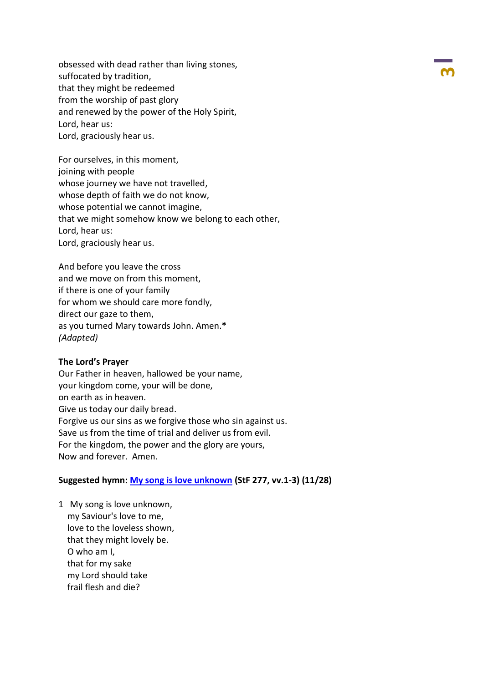obsessed with dead rather than living stones, suffocated by tradition, that they might be redeemed from the worship of past glory and renewed by the power of the Holy Spirit, Lord, hear us: Lord, graciously hear us.

For ourselves, in this moment, joining with people whose journey we have not travelled, whose depth of faith we do not know, whose potential we cannot imagine, that we might somehow know we belong to each other, Lord, hear us: Lord, graciously hear us.

And before you leave the cross and we move on from this moment, if there is one of your family for whom we should care more fondly, direct our gaze to them, as you turned Mary towards John. Amen.**\*** *(Adapted)*

#### **The Lord's Prayer**

Our Father in heaven, hallowed be your name, your kingdom come, your will be done, on earth as in heaven. Give us today our daily bread. Forgive us our sins as we forgive those who sin against us. Save us from the time of trial and deliver us from evil. For the kingdom, the power and the glory are yours, Now and forever. Amen.

#### **Suggested hymn: [My song is love unknown](https://www.methodist.org.uk/our-faith/worship/singing-the-faith-plus/hymns/my-song-is-love-unknown-stf-277/) (StF 277, vv.1-3) (11/28)**

1 My song is love unknown, my Saviour's love to me, love to the loveless shown, that they might lovely be. O who am I, that for my sake my Lord should take frail flesh and die?

**32**